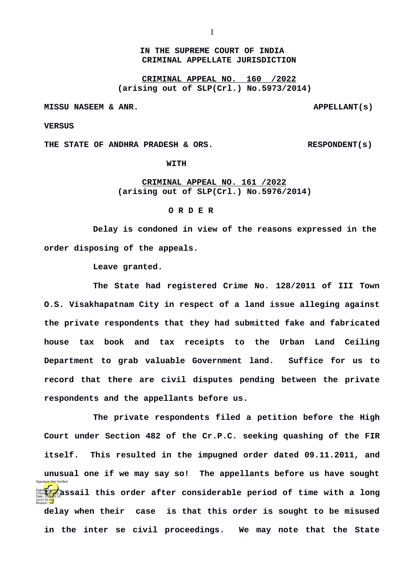## **IN THE SUPREME COURT OF INDIA CRIMINAL APPELLATE JURISDICTION**

**CRIMINAL APPEAL NO. 160 /2022 (arising out of SLP(Crl.) No.5973/2014)**

**MISSU NASEEM & ANR. APPELLANT(s)**

**VERSUS**

**THE STATE OF ANDHRA PRADESH & ORS. RESPONDENT(s)**

**WITH**

## **CRIMINAL APPEAL NO. 161 /2022 (arising out of SLP(Crl.) No.5976/2014)**

## **O R D E R**

**Delay is condoned in view of the reasons expressed in the order disposing of the appeals.**

**Leave granted.**

**The State had registered Crime No. 128/2011 of III Town O.S. Visakhapatnam City in respect of a land issue alleging against the private respondents that they had submitted fake and fabricated house tax book and tax receipts to the Urban Land Ceiling Department to grab valuable Government land. Suffice for us to record that there are civil disputes pending between the private respondents and the appellants before us.**

**The private respondents filed a petition before the High Court under Section 482 of the Cr.P.C. seeking quashing of the FIR itself. This resulted in the impugned order dated 09.11.2011, and unusual one if we may say so! The appellants before us have sought Digitally signed by a set of this order after considerable period of time with a long delay when their case is that this order is sought to be misused in the inter se civil proceedings. We may note that the State** 18:07:01<sup>1ST</sup> Reason: Signature Not Verified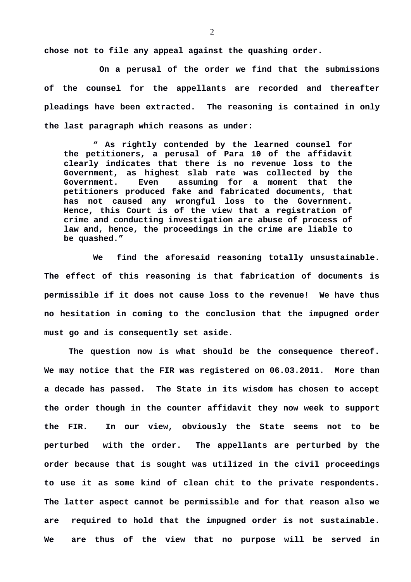**chose not to file any appeal against the quashing order.**

 **On a perusal of the order we find that the submissions of the counsel for the appellants are recorded and thereafter pleadings have been extracted. The reasoning is contained in only the last paragraph which reasons as under:**

**" As rightly contended by the learned counsel for the petitioners, a perusal of Para 10 of the affidavit clearly indicates that there is no revenue loss to the Government, as highest slab rate was collected by the Government. Even assuming for a moment that the petitioners produced fake and fabricated documents, that has not caused any wrongful loss to the Government. Hence, this Court is of the view that a registration of crime and conducting investigation are abuse of process of law and, hence, the proceedings in the crime are liable to be quashed."**

**We find the aforesaid reasoning totally unsustainable. The effect of this reasoning is that fabrication of documents is permissible if it does not cause loss to the revenue! We have thus no hesitation in coming to the conclusion that the impugned order must go and is consequently set aside.** 

**The question now is what should be the consequence thereof. We may notice that the FIR was registered on 06.03.2011. More than a decade has passed. The State in its wisdom has chosen to accept the order though in the counter affidavit they now week to support the FIR. In our view, obviously the State seems not to be perturbed with the order. The appellants are perturbed by the order because that is sought was utilized in the civil proceedings to use it as some kind of clean chit to the private respondents. The latter aspect cannot be permissible and for that reason also we are required to hold that the impugned order is not sustainable. We are thus of the view that no purpose will be served in**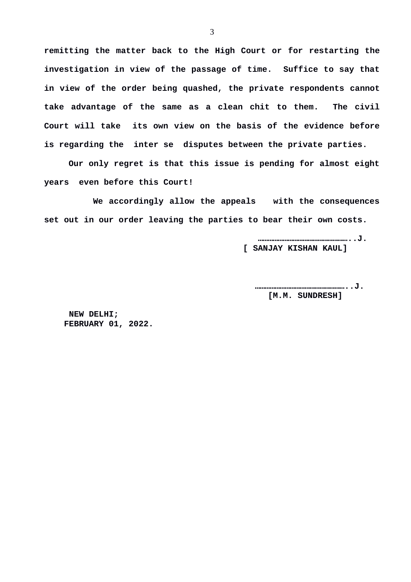**remitting the matter back to the High Court or for restarting the investigation in view of the passage of time. Suffice to say that in view of the order being quashed, the private respondents cannot take advantage of the same as a clean chit to them. The civil Court will take its own view on the basis of the evidence before is regarding the inter se disputes between the private parties.** 

**Our only regret is that this issue is pending for almost eight years even before this Court!**

**We accordingly allow the appeals with the consequences set out in our order leaving the parties to bear their own costs.**

> **………………………………………………..J. [ SANJAY KISHAN KAUL]**

 **………………………………………………..J. [M.M. SUNDRESH]**

 **NEW DELHI; FEBRUARY 01, 2022.**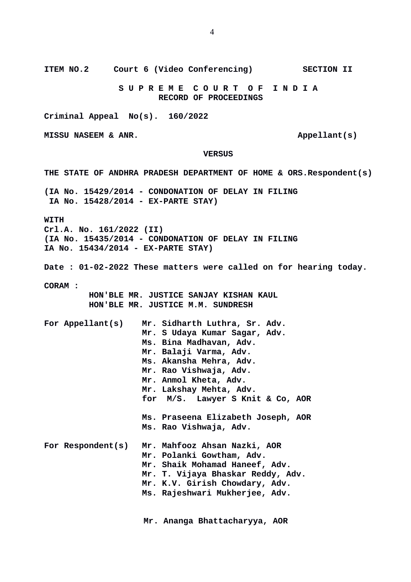**S U P R E M E C O U R T O F I N D I A RECORD OF PROCEEDINGS Criminal Appeal No(s). 160/2022 MISSU NASEEM & ANR.** Appellant(s)  **VERSUS THE STATE OF ANDHRA PRADESH DEPARTMENT OF HOME & ORS.Respondent(s) (IA No. 15429/2014 - CONDONATION OF DELAY IN FILING IA No. 15428/2014 - EX-PARTE STAY) WITH Crl.A. No. 161/2022 (II) (IA No. 15435/2014 - CONDONATION OF DELAY IN FILING IA No. 15434/2014 - EX-PARTE STAY) Date : 01-02-2022 These matters were called on for hearing today. CORAM : HON'BLE MR. JUSTICE SANJAY KISHAN KAUL HON'BLE MR. JUSTICE M.M. SUNDRESH For Appellant(s) Mr. Sidharth Luthra, Sr. Adv. Mr. S Udaya Kumar Sagar, Adv. Ms. Bina Madhavan, Adv. Mr. Balaji Varma, Adv. Ms. Akansha Mehra, Adv. Mr. Rao Vishwaja, Adv. Mr. Anmol Kheta, Adv. Mr. Lakshay Mehta, Adv. for M/S. Lawyer S Knit & Co, AOR Ms. Praseena Elizabeth Joseph, AOR Ms. Rao Vishwaja, Adv. For Respondent(s) Mr. Mahfooz Ahsan Nazki, AOR Mr. Polanki Gowtham, Adv. Mr. Shaik Mohamad Haneef, Adv.**

**Mr. T. Vijaya Bhaskar Reddy, Adv.**

**Mr. K.V. Girish Chowdary, Adv.**

**Ms. Rajeshwari Mukherjee, Adv.**

 **Mr. Ananga Bhattacharyya, AOR**

4

**ITEM NO.2 Court 6 (Video Conferencing) SECTION II**